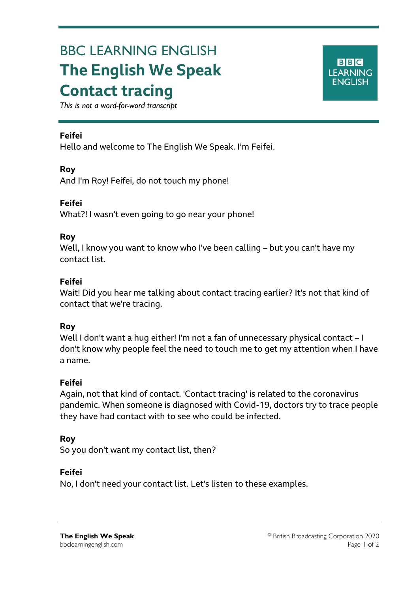# BBC LEARNING ENGLISH **The English We Speak Contact tracing**



*This is not a word-for-word transcript*

#### **Feifei**

Ξ

Hello and welcome to The English We Speak. I'm Feifei.

#### **Roy**

And I'm Roy! Feifei, do not touch my phone!

**Feifei** What?! I wasn't even going to go near your phone!

#### **Roy**

Well, I know you want to know who I've been calling – but you can't have my contact list.

#### **Feifei**

Wait! Did you hear me talking about contact tracing earlier? It's not that kind of contact that we're tracing.

#### **Roy**

Well I don't want a hug either! I'm not a fan of unnecessary physical contact - I don't know why people feel the need to touch me to get my attention when I have a name.

## **Feifei**

Again, not that kind of contact. 'Contact tracing' is related to the coronavirus pandemic. When someone is diagnosed with Covid-19, doctors try to trace people they have had contact with to see who could be infected.

## **Roy**

So you don't want my contact list, then?

#### **Feifei**

No, I don't need your contact list. Let's listen to these examples.